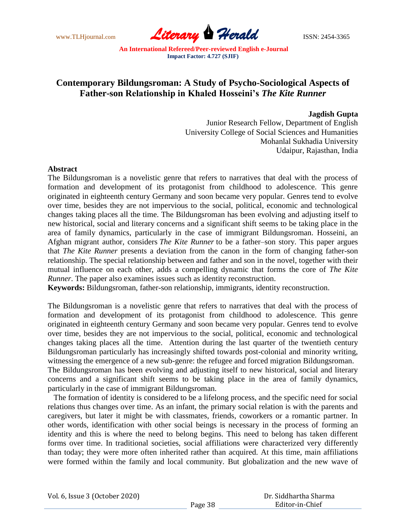

## **Contemporary Bildungsroman: A Study of Psycho-Sociological Aspects of Father-son Relationship in Khaled Hosseini's** *The Kite Runner*

## **Jagdish Gupta**

Junior Research Fellow, Department of English University College of Social Sciences and Humanities Mohanlal Sukhadia University Udaipur, Rajasthan, India

## **Abstract**

The Bildungsroman is a novelistic genre that refers to narratives that deal with the process of formation and development of its protagonist from childhood to adolescence. This genre originated in eighteenth century Germany and soon became very popular. Genres tend to evolve over time, besides they are not impervious to the social, political, economic and technological changes taking places all the time. The Bildungsroman has been evolving and adjusting itself to new historical, social and literary concerns and a significant shift seems to be taking place in the area of family dynamics, particularly in the case of immigrant Bildungsroman. Hosseini, an Afghan migrant author, considers *The Kite Runner* to be a father–son story. This paper argues that *The Kite Runner* presents a deviation from the canon in the form of changing father-son relationship. The special relationship between and father and son in the novel, together with their mutual influence on each other, adds a compelling dynamic that forms the core of *The Kite Runner*. The paper also examines issues such as identity reconstruction.

**Keywords:** Bildungsroman, father-son relationship, immigrants, identity reconstruction.

The Bildungsroman is a novelistic genre that refers to narratives that deal with the process of formation and development of its protagonist from childhood to adolescence. This genre originated in eighteenth century Germany and soon became very popular. Genres tend to evolve over time, besides they are not impervious to the social, political, economic and technological changes taking places all the time. Attention during the last quarter of the twentieth century Bildungsroman particularly has increasingly shifted towards post-colonial and minority writing, witnessing the emergence of a new sub-genre: the refugee and forced migration Bildungsroman. The Bildungsroman has been evolving and adjusting itself to new historical, social and literary concerns and a significant shift seems to be taking place in the area of family dynamics, particularly in the case of immigrant Bildungsroman.

 The formation of identity is considered to be a lifelong process, and the specific need for social relations thus changes over time. As an infant, the primary social relation is with the parents and caregivers, but later it might be with classmates, friends, coworkers or a romantic partner. In other words, identification with other social beings is necessary in the process of forming an identity and this is where the need to belong begins. This need to belong has taken different forms over time. In traditional societies, social affiliations were characterized very differently than today; they were more often inherited rather than acquired. At this time, main affiliations were formed within the family and local community. But globalization and the new wave of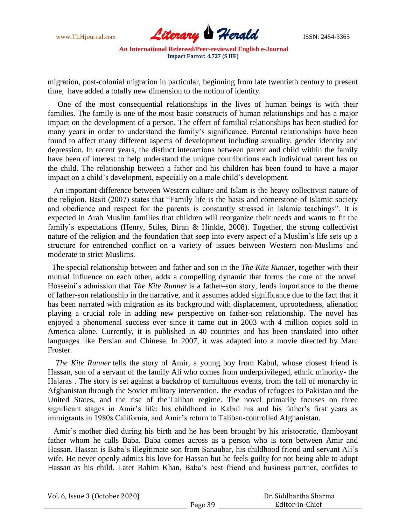

migration, post-colonial migration in particular, beginning from late twentieth century to present time, have added a totally new dimension to the notion of identity.

 One of the most consequential relationships in the lives of human beings is with their families. The family is one of the most basic constructs of human relationships and has a major impact on the development of a person. The effect of familial relationships has been studied for many years in order to understand the family's significance. Parental relationships have been found to affect many different aspects of development including sexuality, gender identity and depression. In recent years, the distinct interactions between parent and child within the family have been of interest to help understand the unique contributions each individual parent has on the child. The relationship between a father and his children has been found to have a major impact on a child's development, especially on a male child's development.

 An important difference between Western culture and Islam is the heavy collectivist nature of the religion. Basit (2007) states that "Family life is the basis and cornerstone of Islamic society and obedience and respect for the parents is constantly stressed in Islamic teachings". It is expected in Arab Muslim families that children will reorganize their needs and wants to fit the family's expectations (Henry, Stiles, Biran & Hinkle, 2008). Together, the strong collectivist nature of the religion and the foundation that seep into every aspect of a Muslim's life sets up a structure for entrenched conflict on a variety of issues between Western non-Muslims and moderate to strict Muslims.

The special relationship between and father and son in the *The Kite Runner*, together with their mutual influence on each other, adds a compelling dynamic that forms the core of the novel. Hosseini's admission that *The Kite Runner* is a father–son story, lends importance to the theme of father-son relationship in the narrative, and it assumes added significance due to the fact that it has been narrated with migration as its background with displacement, uprootedness, alienation playing a crucial role in adding new perspective on father-son relationship. The novel has enjoyed a phenomenal success ever since it came out in 2003 with 4 million copies sold in America alone. Currently, it is published in 40 countries and has been translated into other languages like Persian and Chinese. In 2007, it was adapted into a movie directed by Marc Froster.

 *The Kite Runner* tells the story of Amir, a young boy from Kabul, whose closest friend is Hassan, son of a servant of the family Ali who comes from underprivileged, ethnic minority- the Hajaras . The story is set against a backdrop of tumultuous events, from the fall of monarchy in Afghanistan through the Soviet military intervention, the exodus of refugees to Pakistan and the United States, and the rise of the Taliban regime. The novel primarily focuses on three significant stages in Amir's life: his childhood in Kabul his and his father's first years as immigrants in 1980s California, and Amir's return to Taliban-controlled Afghanistan.

 Amir's mother died during his birth and he has been brought by his aristocratic, flamboyant father whom he calls Baba. Baba comes across as a person who is torn between Amir and Hassan. Hassan is Baba's illegitimate son from Sanaubar, his childhood friend and servant Ali's wife. He never openly admits his love for Hassan but he feels guilty for not being able to adopt Hassan as his child. Later Rahim Khan, Baba's best friend and business partner, confides to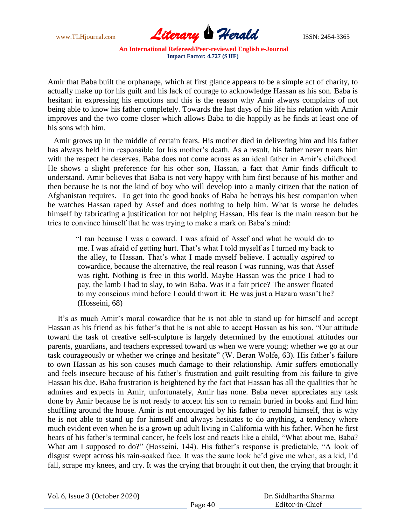

Amir that Baba built the orphanage, which at first glance appears to be a simple act of charity, to actually make up for his guilt and his lack of courage to acknowledge Hassan as his son. Baba is hesitant in expressing his emotions and this is the reason why Amir always complains of not being able to know his father completely. Towards the last days of his life his relation with Amir improves and the two come closer which allows Baba to die happily as he finds at least one of his sons with him.

 Amir grows up in the middle of certain fears. His mother died in delivering him and his father has always held him responsible for his mother's death. As a result, his father never treats him with the respect he deserves. Baba does not come across as an ideal father in Amir's childhood. He shows a slight preference for his other son, Hassan, a fact that Amir finds difficult to understand. Amir believes that Baba is not very happy with him first because of his mother and then because he is not the kind of boy who will develop into a manly citizen that the nation of Afghanistan requires. To get into the good books of Baba he betrays his best companion when he watches Hassan raped by Assef and does nothing to help him. What is worse he deludes himself by fabricating a justification for not helping Hassan. His fear is the main reason but he tries to convince himself that he was trying to make a mark on Baba's mind:

―I ran because I was a coward. I was afraid of Assef and what he would do to me. I was afraid of getting hurt. That's what I told myself as I turned my back to the alley, to Hassan. That's what I made myself believe. I actually *aspired* to cowardice, because the alternative, the real reason I was running, was that Assef was right. Nothing is free in this world. Maybe Hassan was the price I had to pay, the lamb I had to slay, to win Baba. Was it a fair price? The answer floated to my conscious mind before I could thwart it: He was just a Hazara wasn't he? (Hosseini, 68)

 It's as much Amir's moral cowardice that he is not able to stand up for himself and accept Hassan as his friend as his father's that he is not able to accept Hassan as his son. "Our attitude toward the task of creative self-sculpture is largely determined by the emotional attitudes our parents, guardians, and teachers expressed toward us when we were young; whether we go at our task courageously or whether we cringe and hesitate" (W. Beran Wolfe, 63). His father's failure to own Hassan as his son causes much damage to their relationship. Amir suffers emotionally and feels insecure because of his father's frustration and guilt resulting from his failure to give Hassan his due. Baba frustration is heightened by the fact that Hassan has all the qualities that he admires and expects in Amir, unfortunately, Amir has none. Baba never appreciates any task done by Amir because he is not ready to accept his son to remain buried in books and find him shuffling around the house. Amir is not encouraged by his father to remold himself, that is why he is not able to stand up for himself and always hesitates to do anything, a tendency where much evident even when he is a grown up adult living in California with his father. When he first hears of his father's terminal cancer, he feels lost and reacts like a child, "What about me, Baba? What am I supposed to do?" (Hosseini, 144). His father's response is predictable, "A look of disgust swept across his rain-soaked face. It was the same look he'd give me when, as a kid, I'd fall, scrape my knees, and cry. It was the crying that brought it out then, the crying that brought it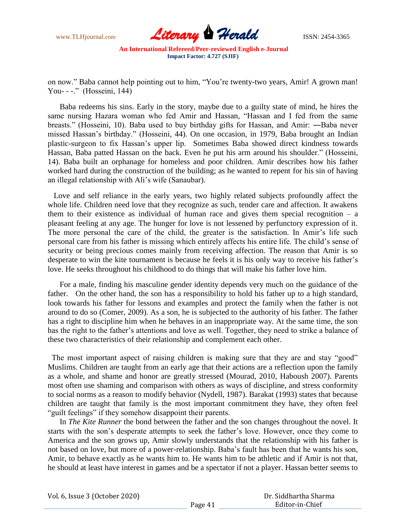

on now." Baba cannot help pointing out to him, "You're twenty-two years, Amir! A grown man! You- - -." (Hosseini, 144)

 Baba redeems his sins. Early in the story, maybe due to a guilty state of mind, he hires the same nursing Hazara woman who fed Amir and Hassan, "Hassan and I fed from the same breasts." (Hosseini, 10). Baba used to buy birthday gifts for Hassan, and Amir: —Baba never missed Hassan's birthday.‖ (Hosseini, 44). On one occasion, in 1979, Baba brought an Indian plastic-surgeon to fix Hassan's upper lip. Sometimes Baba showed direct kindness towards Hassan, Baba patted Hassan on the back. Even he put his arm around his shoulder." (Hosseini, 14). Baba built an orphanage for homeless and poor children. Amir describes how his father worked hard during the construction of the building; as he wanted to repent for his sin of having an illegal relationship with Ali's wife (Sanaubar).

 Love and self reliance in the early years, two highly related subjects profoundly affect the whole life. Children need love that they recognize as such, tender care and affection. It awakens them to their existence as individual of human race and gives them special recognition  $-$  a pleasant feeling at any age. The hunger for love is not lessened by perfunctory expression of it. The more personal the care of the child, the greater is the satisfaction. In Amir's life such personal care from his father is missing which entirely affects his entire life. The child's sense of security or being precious comes mainly from receiving affection. The reason that Amir is so desperate to win the kite tournament is because he feels it is his only way to receive his father's love. He seeks throughout his childhood to do things that will make his father love him.

 For a male, finding his masculine gender identity depends very much on the guidance of the father. On the other hand, the son has a responsibility to hold his father up to a high standard, look towards his father for lessons and examples and protect the family when the father is not around to do so (Comer, 2009). As a son, he is subjected to the authority of his father. The father has a right to discipline him when he behaves in an inappropriate way. At the same time, the son has the right to the father's attentions and love as well. Together, they need to strike a balance of these two characteristics of their relationship and complement each other.

The most important aspect of raising children is making sure that they are and stay "good" Muslims. Children are taught from an early age that their actions are a reflection upon the family as a whole, and shame and honor are greatly stressed (Mourad, 2010, Haboush 2007). Parents most often use shaming and comparison with others as ways of discipline, and stress conformity to social norms as a reason to modify behavior (Nydell, 1987). Barakat (1993) states that because children are taught that family is the most important commitment they have, they often feel "guilt feelings" if they somehow disappoint their parents.

 In *The Kite Runner* the bond between the father and the son changes throughout the novel. It starts with the son's desperate attempts to seek the father's love. However, once they come to America and the son grows up, Amir slowly understands that the relationship with his father is not based on love, but more of a power-relationship. Baba's fault has been that he wants his son, Amir, to behave exactly as he wants him to. He wants him to be athletic and if Amir is not that, he should at least have interest in games and be a spectator if not a player. Hassan better seems to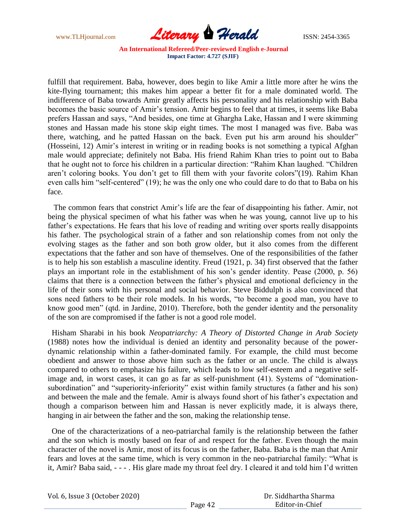

fulfill that requirement. Baba, however, does begin to like Amir a little more after he wins the kite-flying tournament; this makes him appear a better fit for a male dominated world. The indifference of Baba towards Amir greatly affects his personality and his relationship with Baba becomes the basic source of Amir's tension. Amir begins to feel that at times, it seems like Baba prefers Hassan and says, "And besides, one time at Ghargha Lake, Hassan and I were skimming stones and Hassan made his stone skip eight times. The most I managed was five. Baba was there, watching, and he patted Hassan on the back. Even put his arm around his shoulder" (Hosseini, 12) Amir's interest in writing or in reading books is not something a typical Afghan male would appreciate; definitely not Baba. His friend Rahim Khan tries to point out to Baba that he ought not to force his children in a particular direction: "Rahim Khan laughed. "Children aren't coloring books. You don't get to fill them with your favorite colors"(19). Rahim Khan even calls him "self-centered" (19); he was the only one who could dare to do that to Baba on his face.

 The common fears that constrict Amir's life are the fear of disappointing his father. Amir, not being the physical specimen of what his father was when he was young, cannot live up to his father's expectations. He fears that his love of reading and writing over sports really disappoints his father. The psychological strain of a father and son relationship comes from not only the evolving stages as the father and son both grow older, but it also comes from the different expectations that the father and son have of themselves. One of the responsibilities of the father is to help his son establish a masculine identity. Freud (1921, p. 34) first observed that the father plays an important role in the establishment of his son's gender identity. Pease (2000, p. 56) claims that there is a connection between the father's physical and emotional deficiency in the life of their sons with his personal and social behavior. Steve Biddulph is also convinced that sons need fathers to be their role models. In his words, "to become a good man, you have to know good men" (qtd. in Jardine, 2010). Therefore, both the gender identity and the personality of the son are compromised if the father is not a good role model.

 Hisham Sharabi in his book *Neopatriarchy: A Theory of Distorted Change in Arab Society* (1988) notes how the individual is denied an identity and personality because of the powerdynamic relationship within a father-dominated family. For example, the child must become obedient and answer to those above him such as the father or an uncle. The child is always compared to others to emphasize his failure, which leads to low self-esteem and a negative selfimage and, in worst cases, it can go as far as self-punishment  $(41)$ . Systems of "dominationsubordination" and "superiority-inferiority" exist within family structures (a father and his son) and between the male and the female. Amir is always found short of his father's expectation and though a comparison between him and Hassan is never explicitly made, it is always there, hanging in air between the father and the son, making the relationship tense.

 One of the characterizations of a neo-patriarchal family is the relationship between the father and the son which is mostly based on fear of and respect for the father. Even though the main character of the novel is Amir, most of its focus is on the father, Baba. Baba is the man that Amir fears and loves at the same time, which is very common in the neo-patriarchal family: "What is it, Amir? Baba said, - - - . His glare made my throat feel dry. I cleared it and told him I'd written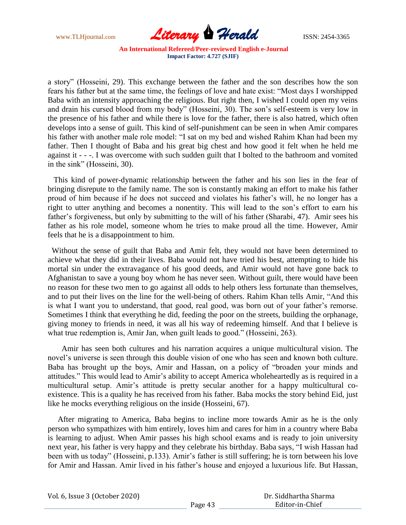

a story" (Hosseini, 29). This exchange between the father and the son describes how the son fears his father but at the same time, the feelings of love and hate exist: "Most days I worshipped Baba with an intensity approaching the religious. But right then, I wished I could open my veins and drain his cursed blood from my body" (Hosseini, 30). The son's self-esteem is very low in the presence of his father and while there is love for the father, there is also hatred, which often develops into a sense of guilt. This kind of self-punishment can be seen in when Amir compares his father with another male role model: "I sat on my bed and wished Rahim Khan had been my father. Then I thought of Baba and his great big chest and how good it felt when he held me against it - - -. I was overcome with such sudden guilt that I bolted to the bathroom and vomited in the sink" (Hosseini, 30).

 This kind of power-dynamic relationship between the father and his son lies in the fear of bringing disrepute to the family name. The son is constantly making an effort to make his father proud of him because if he does not succeed and violates his father's will, he no longer has a right to utter anything and becomes a nonentity. This will lead to the son's effort to earn his father's forgiveness, but only by submitting to the will of his father (Sharabi, 47). Amir sees his father as his role model, someone whom he tries to make proud all the time. However, Amir feels that he is a disappointment to him.

 Without the sense of guilt that Baba and Amir felt, they would not have been determined to achieve what they did in their lives. Baba would not have tried his best, attempting to hide his mortal sin under the extravagance of his good deeds, and Amir would not have gone back to Afghanistan to save a young boy whom he has never seen. Without guilt, there would have been no reason for these two men to go against all odds to help others less fortunate than themselves, and to put their lives on the line for the well-being of others. Rahim Khan tells Amir, "And this is what I want you to understand, that good, real good, was born out of your father's remorse. Sometimes I think that everything he did, feeding the poor on the streets, building the orphanage, giving money to friends in need, it was all his way of redeeming himself. And that I believe is what true redemption is, Amir Jan, when guilt leads to good." (Hosseini, 263).

 Amir has seen both cultures and his narration acquires a unique multicultural vision. The novel's universe is seen through this double vision of one who has seen and known both culture. Baba has brought up the boys, Amir and Hassan, on a policy of "broaden your minds and attitudes.‖ This would lead to Amir's ability to accept America wholeheartedly as is required in a multicultural setup. Amir's attitude is pretty secular another for a happy multicultural coexistence. This is a quality he has received from his father. Baba mocks the story behind Eid, just like he mocks everything religious on the inside (Hosseini, 67).

 After migrating to America, Baba begins to incline more towards Amir as he is the only person who sympathizes with him entirely, loves him and cares for him in a country where Baba is learning to adjust. When Amir passes his high school exams and is ready to join university next year, his father is very happy and they celebrate his birthday. Baba says, "I wish Hassan had been with us today" (Hosseini, p.133). Amir's father is still suffering; he is torn between his love for Amir and Hassan. Amir lived in his father's house and enjoyed a luxurious life. But Hassan,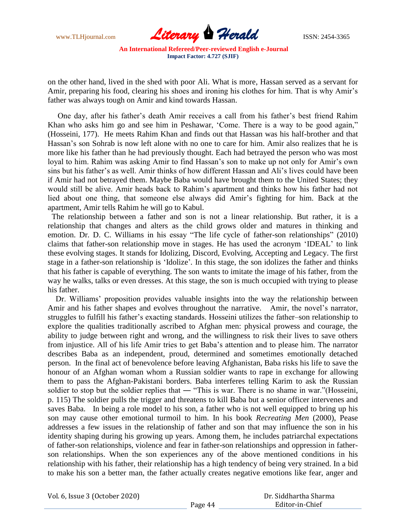

on the other hand, lived in the shed with poor Ali. What is more, Hassan served as a servant for Amir, preparing his food, clearing his shoes and ironing his clothes for him. That is why Amir's father was always tough on Amir and kind towards Hassan.

 One day, after his father's death Amir receives a call from his father's best friend Rahim Khan who asks him go and see him in Peshawar, 'Come. There is a way to be good again," (Hosseini, 177). He meets Rahim Khan and finds out that Hassan was his half-brother and that Hassan's son Sohrab is now left alone with no one to care for him. Amir also realizes that he is more like his father than he had previously thought. Each had betrayed the person who was most loyal to him. Rahim was asking Amir to find Hassan's son to make up not only for Amir's own sins but his father's as well. Amir thinks of how different Hassan and Ali's lives could have been if Amir had not betrayed them. Maybe Baba would have brought them to the United States; they would still be alive. Amir heads back to Rahim's apartment and thinks how his father had not lied about one thing, that someone else always did Amir's fighting for him. Back at the apartment, Amir tells Rahim he will go to Kabul.

 The relationship between a father and son is not a linear relationship. But rather, it is a relationship that changes and alters as the child grows older and matures in thinking and emotion. Dr. D. C. Williams in his essay "The life cycle of father-son relationships" (2010) claims that father-son relationship move in stages. He has used the acronym 'IDEAL' to link these evolving stages. It stands for Idolizing, Discord, Evolving, Accepting and Legacy. The first stage in a father-son relationship is ‗Idolize'*.* In this stage, the son idolizes the father and thinks that his father is capable of everything. The son wants to imitate the image of his father, from the way he walks, talks or even dresses. At this stage, the son is much occupied with trying to please his father.

 Dr. Williams' proposition provides valuable insights into the way the relationship between Amir and his father shapes and evolves throughout the narrative. Amir, the novel's narrator, struggles to fulfill his father's exacting standards. Hosseini utilizes the father–son relationship to explore the qualities traditionally ascribed to Afghan men: physical prowess and courage, the ability to judge between right and wrong, and the willingness to risk their lives to save others from injustice. All of his life Amir tries to get Baba's attention and to please him. The narrator describes Baba as an independent, proud, determined and sometimes emotionally detached person. In the final act of benevolence before leaving Afghanistan, Baba risks his life to save the honour of an Afghan woman whom a Russian soldier wants to rape in exchange for allowing them to pass the Afghan-Pakistani borders. Baba interferes telling Karim to ask the Russian soldier to stop but the soldier replies that — "This is war. There is no shame in war."(Hosseini, p. 115) The soldier pulls the trigger and threatens to kill Baba but a senior officer intervenes and saves Baba. In being a role model to his son, a father who is not well equipped to bring up his son may cause other emotional turmoil to him. In his book *Recreating Men* (2000), Pease addresses a few issues in the relationship of father and son that may influence the son in his identity shaping during his growing up years. Among them, he includes patriarchal expectations of father-son relationships, violence and fear in father-son relationships and oppression in fatherson relationships. When the son experiences any of the above mentioned conditions in his relationship with his father, their relationship has a high tendency of being very strained. In a bid to make his son a better man, the father actually creates negative emotions like fear, anger and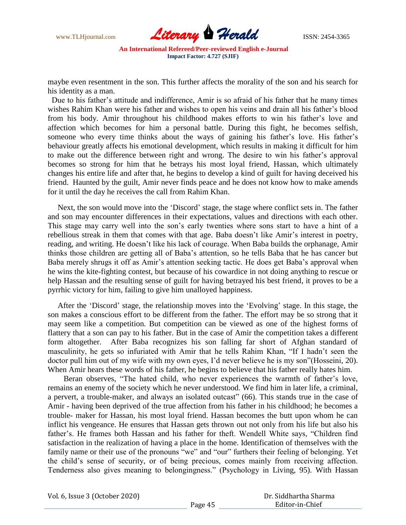

maybe even resentment in the son. This further affects the morality of the son and his search for his identity as a man.

 Due to his father's attitude and indifference, Amir is so afraid of his father that he many times wishes Rahim Khan were his father and wishes to open his veins and drain all his father's blood from his body. Amir throughout his childhood makes efforts to win his father's love and affection which becomes for him a personal battle. During this fight, he becomes selfish, someone who every time thinks about the ways of gaining his father's love. His father's behaviour greatly affects his emotional development, which results in making it difficult for him to make out the difference between right and wrong. The desire to win his father's approval becomes so strong for him that he betrays his most loyal friend, Hassan, which ultimately changes his entire life and after that, he begins to develop a kind of guilt for having deceived his friend. Haunted by the guilt, Amir never finds peace and he does not know how to make amends for it until the day he receives the call from Rahim Khan.

Next, the son would move into the 'Discord' stage, the stage where conflict sets in. The father and son may encounter differences in their expectations, values and directions with each other. This stage may carry well into the son's early twenties where sons start to have a hint of a rebellious streak in them that comes with that age. Baba doesn't like Amir's interest in poetry, reading, and writing. He doesn't like his lack of courage. When Baba builds the orphanage, Amir thinks those children are getting all of Baba's attention, so he tells Baba that he has cancer but Baba merely shrugs it off as Amir's attention seeking tactic. He does get Baba's approval when he wins the kite-fighting contest, but because of his cowardice in not doing anything to rescue or help Hassan and the resulting sense of guilt for having betrayed his best friend, it proves to be a pyrrhic victory for him, failing to give him unalloyed happiness.

After the 'Discord' stage, the relationship moves into the 'Evolving' stage. In this stage, the son makes a conscious effort to be different from the father. The effort may be so strong that it may seem like a competition. But competition can be viewed as one of the highest forms of flattery that a son can pay to his father. But in the case of Amir the competition takes a different form altogether. After Baba recognizes his son falling far short of Afghan standard of masculinity, he gets so infuriated with Amir that he tells Rahim Khan, "If I hadn't seen the doctor pull him out of my wife with my own eyes, I'd never believe he is my son"(Hosseini, 20). When Amir hears these words of his father, he begins to believe that his father really hates him.

Beran observes, "The hated child, who never experiences the warmth of father's love, remains an enemy of the society which he never understood. We find him in later life, a criminal, a pervert, a trouble-maker, and always an isolated outcast" (66). This stands true in the case of Amir - having been deprived of the true affection from his father in his childhood; he becomes a trouble- maker for Hassan, his most loyal friend. Hassan becomes the butt upon whom he can inflict his vengeance. He ensures that Hassan gets thrown out not only from his life but also his father's. He frames both Hassan and his father for theft. Wendell White says, "Children find satisfaction in the realization of having a place in the home. Identification of themselves with the family name or their use of the pronouns "we" and "our" furthers their feeling of belonging. Yet the child's sense of security, or of being precious, comes mainly from receiving affection. Tenderness also gives meaning to belongingness." (Psychology in Living, 95). With Hassan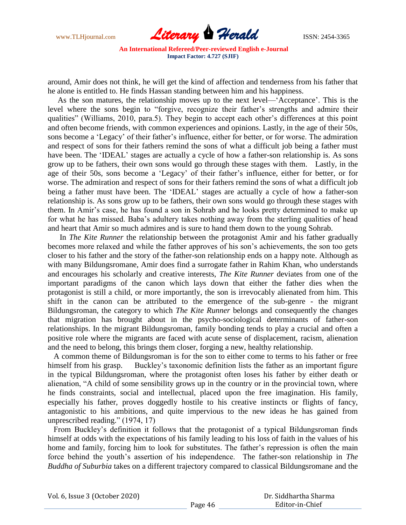

around, Amir does not think, he will get the kind of affection and tenderness from his father that he alone is entitled to. He finds Hassan standing between him and his happiness.

 As the son matures, the relationship moves up to the next level—‗Acceptance'. This is the level where the sons begin to "forgive, recognize their father's strengths and admire their qualities" (Williams, 2010, para.5). They begin to accept each other's differences at this point and often become friends, with common experiences and opinions. Lastly, in the age of their 50s, sons become a 'Legacy' of their father's influence, either for better, or for worse. The admiration and respect of sons for their fathers remind the sons of what a difficult job being a father must have been. The 'IDEAL' stages are actually a cycle of how a father-son relationship is. As sons grow up to be fathers, their own sons would go through these stages with them. Lastly, in the age of their 50s, sons become a 'Legacy' of their father's influence, either for better, or for worse. The admiration and respect of sons for their fathers remind the sons of what a difficult job being a father must have been. The 'IDEAL' stages are actually a cycle of how a father-son relationship is. As sons grow up to be fathers, their own sons would go through these stages with them. In Amir's case, he has found a son in Sohrab and he looks pretty determined to make up for what he has missed. Baba's adultery takes nothing away from the sterling qualities of head and heart that Amir so much admires and is sure to hand them down to the young Sohrab.

 In *The Kite Runner* the relationship between the protagonist Amir and his father gradually becomes more relaxed and while the father approves of his son's achievements, the son too gets closer to his father and the story of the father-son relationship ends on a happy note. Although as with many Bildungsromane, Amir does find a surrogate father in Rahim Khan, who understands and encourages his scholarly and creative interests, *The Kite Runner* deviates from one of the important paradigms of the canon which lays down that either the father dies when the protagonist is still a child, or more importantly, the son is irrevocably alienated from him. This shift in the canon can be attributed to the emergence of the sub-genre - the migrant Bildungsroman, the category to which *The Kite Runner* belongs and consequently the changes that migration has brought about in the psycho-sociological determinants of father-son relationships. In the migrant Bildungsroman, family bonding tends to play a crucial and often a positive role where the migrants are faced with acute sense of displacement, racism, alienation and the need to belong, this brings them closer, forging a new, healthy relationship.

 A common theme of Bildungsroman is for the son to either come to terms to his father or free himself from his grasp. Buckley's taxonomic definition lists the father as an important figure in the typical Bildungsroman, where the protagonist often loses his father by either death or alienation, "A child of some sensibility grows up in the country or in the provincial town, where he finds constraints, social and intellectual, placed upon the free imagination. His family, especially his father, proves doggedly hostile to his creative instincts or flights of fancy, antagonistic to his ambitions, and quite impervious to the new ideas he has gained from unprescribed reading." (1974, 17)

 From Buckley's definition it follows that the protagonist of a typical Bildungsroman finds himself at odds with the expectations of his family leading to his loss of faith in the values of his home and family, forcing him to look for substitutes. The father's repression is often the main force behind the youth's assertion of his independence. The father-son relationship in *The Buddha of Suburbia* takes on a different trajectory compared to classical Bildungsromane and the